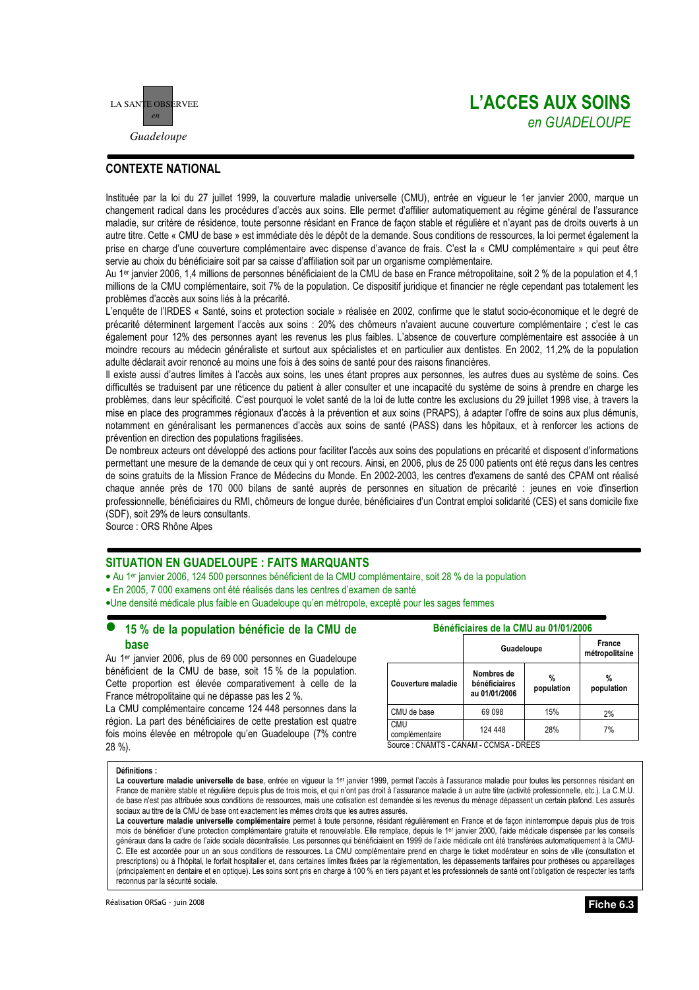

## **L'ACCES AUX SOINS** en GUADELOUPE

## **CONTEXTE NATIONAL**

Instituée par la loi du 27 juillet 1999, la couverture maladie universelle (CMU), entrée en viqueur le 1er janvier 2000, marque un changement radical dans les procédures d'accès aux soins. Elle permet d'affilier automatiquement au régime général de l'assurance maladie, sur critère de résidence, toute personne résidant en France de façon stable et régulière et n'ayant pas de droits ouverts à un autre titre. Cette « CMU de base » est immédiate dès le dépôt de la demande. Sous conditions de ressources, la loi permet également la prise en charge d'une couverture complémentaire avec dispense d'avance de frais. C'est la « CMU complémentaire » qui peut être servie au choix du bénéficiaire soit par sa caisse d'affiliation soit par un organisme complémentaire.

Au 1<sup>er</sup> janvier 2006, 1.4 millions de personnes bénéficiaient de la CMU de base en France métropolitaine, soit 2 % de la population et 4.1 millions de la CMU complémentaire, soit 7% de la population. Ce dispositif juridique et financier ne règle cependant pas totalement les problèmes d'accès aux soins liés à la précarité.

L'enquête de l'IRDES « Santé, soins et protection sociale » réalisée en 2002, confirme que le statut socio-économique et le degré de précarité déterminent largement l'accès aux soins : 20% des chômeurs n'avaient aucune couverture complémentaire ; c'est le cas également pour 12% des personnes avant les revenus les plus faibles. L'absence de couverture complémentaire est associée à un moindre recours au médecin généraliste et surtout aux spécialistes et en particulier aux dentistes. En 2002, 11,2% de la population adulte déclarait avoir renoncé au moins une fois à des soins de santé pour des raisons financières.

Il existe aussi d'autres limites à l'accès aux soins, les unes étant propres aux personnes, les autres dues au système de soins. Ces difficultés se traduisent par une réticence du patient à aller consulter et une incapacité du système de soins à prendre en charge les problèmes, dans leur spécificité. C'est pourquoi le volet santé de la loi de lutte contre les exclusions du 29 juillet 1998 vise, à travers la mise en place des programmes régionaux d'accès à la prévention et aux soins (PRAPS), à adapter l'offre de soins aux plus démunis, notamment en généralisant les permanences d'accès aux soins de santé (PASS) dans les hôpitaux, et à renforcer les actions de prévention en direction des populations fragilisées.

De nombreux acteurs ont développé des actions pour faciliter l'accès aux soins des populations en précarité et disposent d'informations permettant une mesure de la demande de ceux qui y ont recours. Ainsi, en 2006, plus de 25 000 patients ont été reçus dans les centres de soins gratuits de la Mission France de Médecins du Monde. En 2002-2003, les centres d'examens de santé des CPAM ont réalisé chaque année près de 170 000 bilans de santé auprès de personnes en situation de précarité : jeunes en voie d'insertion professionnelle, bénéficiaires du RMI, chômeurs de longue durée, bénéficiaires d'un Contrat emploi solidarité (CES) et sans domicile fixe (SDF), soit 29% de leurs consultants.

Source : ORS Rhône Alpes

## **SITUATION EN GUADELOUPE : FAITS MARQUANTS**

• Au 1<sup>er</sup> janvier 2006, 124 500 personnes bénéficient de la CMU complémentaire, soit 28 % de la population

- · En 2005, 7 000 examens ont été réalisés dans les centres d'examen de santé
- •Une densité médicale plus faible en Guadeloupe qu'en métropole, excepté pour les sages femmes

### 15 % de la population bénéficie de la CMU de hase

Au 1<sup>er</sup> janvier 2006, plus de 69 000 personnes en Guadeloupe bénéficient de la CMU de base, soit 15 % de la population. Cette proportion est élevée comparativement à celle de la France métropolitaine qui ne dépasse pas les 2 %.

La CMU complémentaire concerne 124 448 personnes dans la région. La part des bénéficiaires de cette prestation est quatre fois moins élevée en métropole qu'en Guadeloupe (7% contre 28 %).

| Bénéficiaires de la CMU au 01/01/2006  |                                              |                 |                          |  |  |
|----------------------------------------|----------------------------------------------|-----------------|--------------------------|--|--|
|                                        | Guadeloupe                                   |                 | France<br>métropolitaine |  |  |
| Couverture maladie                     | Nombres de<br>bénéficiaires<br>au 01/01/2006 | %<br>population | %<br>population          |  |  |
| CMU de base                            | 69098                                        | 15%             | 2%                       |  |  |
| <b>CMU</b><br>complémentaire           | 124 448                                      | 28%             | 7%                       |  |  |
| Source: CNAMTS - CANAM - CCMSA - DREES |                                              |                 |                          |  |  |

### Définitions :

La couverture maladie universelle de base, entrée en vigueur la 1<sup>er</sup> janvier 1999, permet l'accès à l'assurance maladie pour toutes les personnes résidant en France de manière stable et régulière depuis plus de trois mois, et qui n'ont pas droit à l'assurance maladie à un autre titre (activité professionnelle, etc.). La C.M.U. de base n'est pas attribuée sous conditions de ressources, mais une cotisation est demandée si les revenus du ménage dépassent un certain plafond. Les assurés sociaux au titre de la CMU de base ont exactement les mêmes droits que les autres assurés.

La couverture maladie universelle complémentaire permet à toute personne, résidant régulièrement en France et de façon ininterrompue depuis plus de trois mois de bénéficier d'une protection complémentaire gratuite et renouvelable. Elle remplace, depuis le 1er janvier 2000, l'aide médicale dispensée par les conseils généraux dans la cadre de l'aide sociale décentralisée. Les personnes qui bénéficiaient en 1999 de l'aide médicale ont été transférées automatiquement à la CMU-C. Elle est accordée pour un an sous conditions de ressources. La CMU complémentaire prend en charge le ticket modérateur en soins de ville (consultation et prescriptions) ou à l'hôpital, le forfait hospitalier et, dans certaines limites fixées par la réglementation, les dépassements tarifaires pour prothèses ou appareillages (principalement en dentaire et en optique). Les soins sont pris en charge à 100 % en tiers payant et les professionnels de santé ont l'obligation de respecter les tarifs reconnus par la sécurité sociale.

Réalisation ORSaG - juin 2008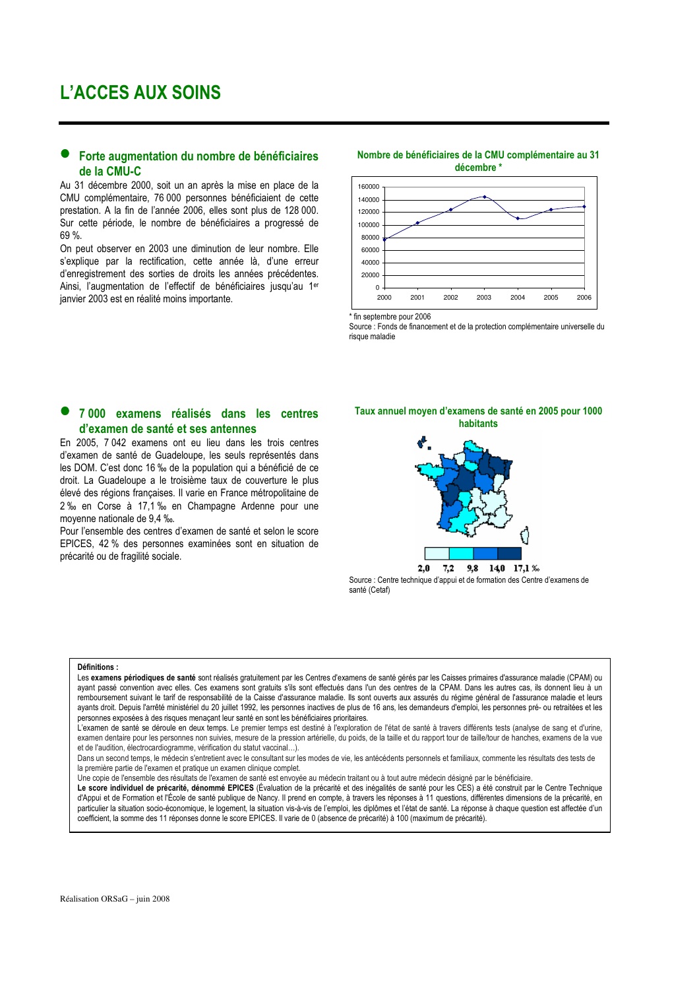## Forte augmentation du nombre de bénéficiaires de la CMU-C

Au 31 décembre 2000, soit un an après la mise en place de la CMU complémentaire, 76 000 personnes bénéficiaient de cette prestation. A la fin de l'année 2006, elles sont plus de 128 000. Sur cette période, le nombre de bénéficiaires a progressé de 69%

On peut observer en 2003 une diminution de leur nombre. Elle s'explique par la rectification, cette année là, d'une erreur d'enregistrement des sorties de droits les années précédentes. Ainsi, l'augmentation de l'effectif de bénéficiaires jusqu'au 1er janvier 2003 est en réalité moins importante.

## Nombre de bénéficiaires de la CMU complémentaire au 31



fin septembre pour 2006

Source : Fonds de financement et de la protection complémentaire universelle du risque maladie

### 7 000 examens réalisés dans les centres d'examen de santé et ses antennes

En 2005, 7 042 examens ont eu lieu dans les trois centres d'examen de santé de Guadeloupe, les seuls représentés dans les DOM. C'est donc 16 ‰ de la population qui a bénéficié de ce droit. La Guadeloupe a le troisième taux de couverture le plus élevé des régions françaises. Il varie en France métropolitaine de 2 ‰ en Corse à 17,1 ‰ en Champagne Ardenne pour une moyenne nationale de 9,4 ‰.

Pour l'ensemble des centres d'examen de santé et selon le score EPICES, 42 % des personnes examinées sont en situation de précarité ou de fragilité sociale.

Taux annuel moyen d'examens de santé en 2005 pour 1000 hahitante



Source : Centre technique d'appui et de formation des Centre d'examens de santé (Cetaf)

#### Définitions :

Les examens périodiques de santé sont réalisés gratuitement par les Centres d'examens de santé gérés par les Caisses primaires d'assurance maladie (CPAM) ou avant passé convention avec elles Ces examens sont gratuits s'ils sont effectués dans l'un des centres de la CPAM. Dans les autres cas ils donnent lieu à un remboursement suivant le tarif de responsabilité de la Caisse d'assurance maladie. Ils sont ouverts aux assurés du régime général de l'assurance maladie et leurs ayants droit. Depuis l'arrêté ministériel du 20 juillet 1992, les personnes inactives de plus de 16 ans, les demandeurs d'emploi, les personnes pré- ou retraitées et les personnes exposées à des risques menaçant leur santé en sont les bénéficiaires prioritaires.

L'examen de santé se déroule en deux temps. Le premier temps est destiné à l'exploration de l'état de santé à travers différents tests (analyse de sang et d'urine, examen dentaire pour les personnes non suivies, mesure de la pression artérielle, du poids, de la taille et du rapport tour de taille/tour de hanches, examens de la vue et de l'audition, électrocardiogramme, vérification du statut vaccinal...).

Dans un second temps, le médecin s'entretient avec le consultant sur les modes de vie, les antécédents personnels et familiaux, commente les résultats des tests de la première partie de l'examen et pratique un examen clinique complet.

Une copie de l'ensemble des résultats de l'examen de santé est envoyée au médecin traitant ou à tout autre médecin désigné par le bénéficiaire.

Le score individuel de précarité, dénommé EPICES (Évaluation de la précarité et des inégalités de santé pour les CES) a été construit par le Centre Technique d'Appui et de Formation et l'École de santé publique de Nancy. Il prend en compte, à travers les réponses à 11 questions, différentes dimensions de la précarité, en particulier la situation socio-économique, le logement, la situation vis-à-vis de l'emploi, les diplômes et l'état de santé. La réponse à chaque question est affectée d'un coefficient, la somme des 11 réponses donne le score EPICES. Il varie de 0 (absence de précarité) à 100 (maximum de précarité).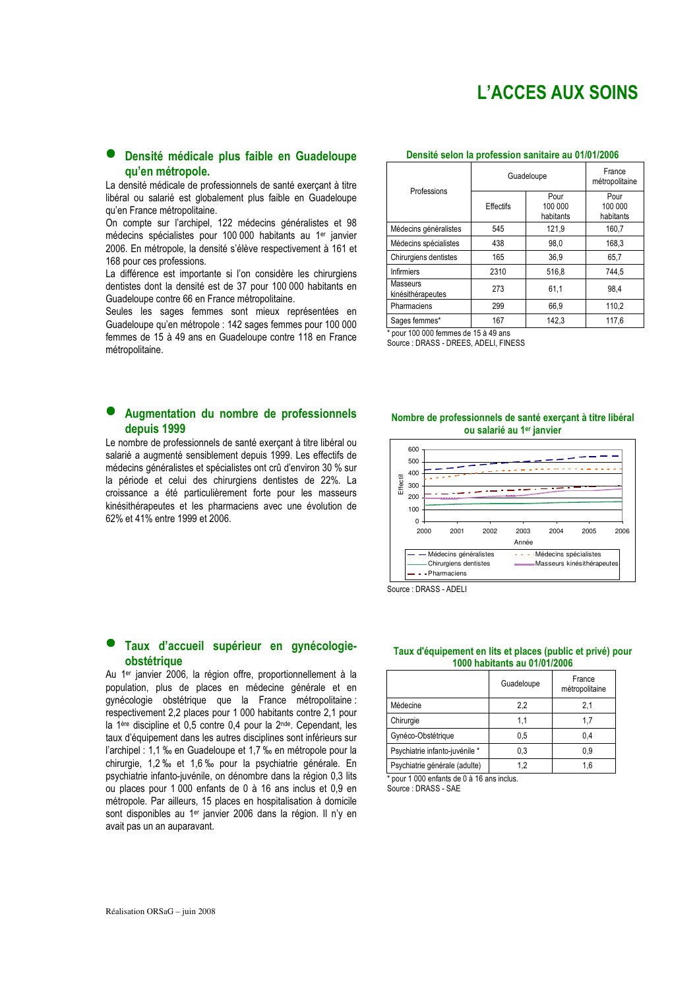# L'ACCES AUX SOINS

### Densité médicale plus faible en Guadeloupe qu'en métropole.

La densité médicale de professionnels de santé exercant à titre libéral ou salarié est globalement plus faible en Guadeloupe qu'en France métropolitaine.

On compte sur l'archipel, 122 médecins généralistes et 98 médecins spécialistes pour 100 000 habitants au 1er janvier 2006. En métropole, la densité s'élève respectivement à 161 et 168 pour ces professions.

La différence est importante si l'on considère les chirurgiens dentistes dont la densité est de 37 pour 100 000 habitants en Guadeloupe contre 66 en France métropolitaine.

Seules les sages femmes sont mieux représentées en Guadeloupe qu'en métropole : 142 sages femmes pour 100 000 femmes de 15 à 49 ans en Guadeloupe contre 118 en France métropolitaine.

### Augmentation du nombre de professionnels depuis 1999

Le nombre de professionnels de santé exercant à titre libéral ou salarié a augmenté sensiblement depuis 1999. Les effectifs de médecins généralistes et spécialistes ont crû d'environ 30 % sur la période et celui des chirurgiens dentistes de 22%. La croissance a été particulièrement forte pour les masseurs kinésithérapeutes et les pharmaciens avec une évolution de 62% et 41% entre 1999 et 2006.

### Taux d'accueil supérieur en gynécologieobstétrique

Au 1<sup>er</sup> janvier 2006, la région offre, proportionnellement à la population, plus de places en médecine générale et en gynécologie obstétrique que la France métropolitaine : respectivement 2,2 places pour 1 000 habitants contre 2,1 pour la 1ère discipline et 0,5 contre 0,4 pour la 2nde. Cependant, les taux d'équipement dans les autres disciplines sont inférieurs sur l'archipel : 1,1 ‰ en Guadeloupe et 1,7 ‰ en métropole pour la chirurgie, 1,2 ‰ et 1,6 ‰ pour la psychiatrie générale. En psychiatrie infanto-iuvénile, on dénombre dans la région 0.3 lits ou places pour 1 000 enfants de 0 à 16 ans inclus et 0,9 en métropole. Par ailleurs, 15 places en hospitalisation à domicile sont disponibles au 1er janvier 2006 dans la région. Il n'y en avait pas un an auparavant.

### Densité selon la profession sanitaire au 01/01/2006

| Professions                   | Guadeloupe |                              | France<br>métropolitaine     |
|-------------------------------|------------|------------------------------|------------------------------|
|                               | Effectifs  | Pour<br>100 000<br>habitants | Pour<br>100 000<br>habitants |
| Médecins généralistes         | 545        | 121,9                        | 160,7                        |
| Médecins spécialistes         | 438        | 98,0                         | 168,3                        |
| Chirurgiens dentistes         | 165        | 36.9                         | 65,7                         |
| <b>Infirmiers</b>             | 2310       | 516.8                        | 744.5                        |
| Masseurs<br>kinésithérapeutes | 273        | 61,1                         | 98.4                         |
| Pharmaciens                   | 299        | 66.9                         | 110.2                        |
| Sages femmes*                 | 167        | 142.3                        | 117.6                        |

 $*$  pour 100 000 femmes de 15 à 49 ans Source : DRASS - DREES, ADELI, FINESS

### Nombre de professionnels de santé exerçant à titre libéral ou salarié au 1er janvier



Source : DRASS - ADELL

### Taux d'équipement en lits et places (public et privé) pour 1000 habitants au 01/01/2006

|                                | Guadeloupe | France<br>métropolitaine |
|--------------------------------|------------|--------------------------|
| Médecine                       | 2,2        | 2,1                      |
| Chirurgie                      | 1.1        | 1.7                      |
| Gynéco-Obstétrique             | 0.5        | 0.4                      |
| Psychiatrie infanto-juvénile * | 0.3        | 0.9                      |
| Psychiatrie générale (adulte)  |            | 1.6                      |

pour 1 000 enfants de 0 à 16 ans inclus.

Source : DRASS - SAE